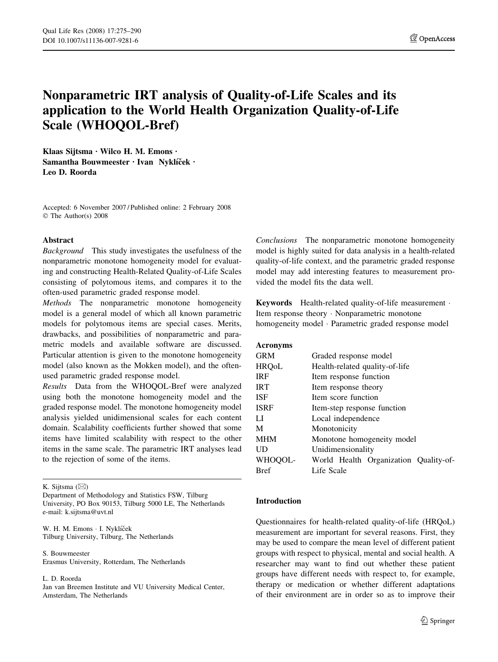# Nonparametric IRT analysis of Quality-of-Life Scales and its application to the World Health Organization Quality-of-Life Scale (WHOQOL-Bref)

Klaas Sijtsma  $\cdot$  Wilco H. M. Emons  $\cdot$ Samantha Bouwmeester · Ivan Nyklíček · Leo D. Roorda

Accepted: 6 November 2007 / Published online: 2 February 2008 The Author(s) 2008

## Abstract

Background This study investigates the usefulness of the nonparametric monotone homogeneity model for evaluating and constructing Health-Related Quality-of-Life Scales consisting of polytomous items, and compares it to the often-used parametric graded response model.

Methods The nonparametric monotone homogeneity model is a general model of which all known parametric models for polytomous items are special cases. Merits, drawbacks, and possibilities of nonparametric and parametric models and available software are discussed. Particular attention is given to the monotone homogeneity model (also known as the Mokken model), and the oftenused parametric graded response model.

Results Data from the WHOQOL-Bref were analyzed using both the monotone homogeneity model and the graded response model. The monotone homogeneity model analysis yielded unidimensional scales for each content domain. Scalability coefficients further showed that some items have limited scalability with respect to the other items in the same scale. The parametric IRT analyses lead to the rejection of some of the items.

K. Sijtsma  $(\boxtimes)$ 

W. H. M. Emons · I. Nyklíček Tilburg University, Tilburg, The Netherlands

S. Bouwmeester Erasmus University, Rotterdam, The Netherlands

L. D. Roorda

Jan van Breemen Institute and VU University Medical Center, Amsterdam, The Netherlands

Conclusions The nonparametric monotone homogeneity model is highly suited for data analysis in a health-related quality-of-life context, and the parametric graded response model may add interesting features to measurement provided the model fits the data well.

Keywords Health-related quality-of-life measurement . Item response theory · Nonparametric monotone homogeneity model · Parametric graded response model

## Acronyms

| GRM     | Graded response model                 |  |  |  |  |  |  |  |
|---------|---------------------------------------|--|--|--|--|--|--|--|
| HRQoL   | Health-related quality-of-life        |  |  |  |  |  |  |  |
| IRF     | Item response function                |  |  |  |  |  |  |  |
| IRT     | Item response theory                  |  |  |  |  |  |  |  |
| ISF     | Item score function                   |  |  |  |  |  |  |  |
| ISRF    | Item-step response function           |  |  |  |  |  |  |  |
| LI      | Local independence                    |  |  |  |  |  |  |  |
| М       | Monotonicity                          |  |  |  |  |  |  |  |
| MHM     | Monotone homogeneity model            |  |  |  |  |  |  |  |
| UD      | Unidimensionality                     |  |  |  |  |  |  |  |
| WHOQOL- | World Health Organization Quality-of- |  |  |  |  |  |  |  |
| Bref    | Life Scale                            |  |  |  |  |  |  |  |

## Introduction

Questionnaires for health-related quality-of-life (HRQoL) measurement are important for several reasons. First, they may be used to compare the mean level of different patient groups with respect to physical, mental and social health. A researcher may want to find out whether these patient groups have different needs with respect to, for example, therapy or medication or whether different adaptations of their environment are in order so as to improve their

Department of Methodology and Statistics FSW, Tilburg University, PO Box 90153, Tilburg 5000 LE, The Netherlands e-mail: k.sijtsma@uvt.nl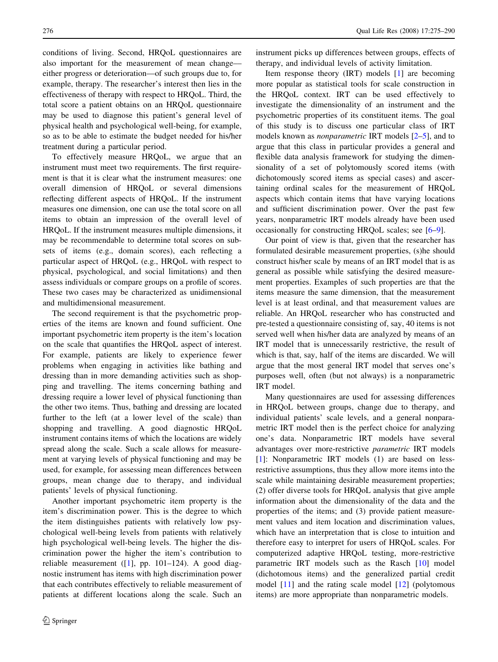conditions of living. Second, HRQoL questionnaires are also important for the measurement of mean change–– either progress or deterioration––of such groups due to, for example, therapy. The researcher's interest then lies in the effectiveness of therapy with respect to HRQoL. Third, the total score a patient obtains on an HRQoL questionnaire may be used to diagnose this patient's general level of physical health and psychological well-being, for example, so as to be able to estimate the budget needed for his/her treatment during a particular period.

To effectively measure HRQoL, we argue that an instrument must meet two requirements. The first requirement is that it is clear what the instrument measures: one overall dimension of HRQoL or several dimensions reflecting different aspects of HRQoL. If the instrument measures one dimension, one can use the total score on all items to obtain an impression of the overall level of HRQoL. If the instrument measures multiple dimensions, it may be recommendable to determine total scores on subsets of items (e.g., domain scores), each reflecting a particular aspect of HRQoL (e.g., HRQoL with respect to physical, psychological, and social limitations) and then assess individuals or compare groups on a profile of scores. These two cases may be characterized as unidimensional and multidimensional measurement.

The second requirement is that the psychometric properties of the items are known and found sufficient. One important psychometric item property is the item's location on the scale that quantifies the HRQoL aspect of interest. For example, patients are likely to experience fewer problems when engaging in activities like bathing and dressing than in more demanding activities such as shopping and travelling. The items concerning bathing and dressing require a lower level of physical functioning than the other two items. Thus, bathing and dressing are located further to the left (at a lower level of the scale) than shopping and travelling. A good diagnostic HRQoL instrument contains items of which the locations are widely spread along the scale. Such a scale allows for measurement at varying levels of physical functioning and may be used, for example, for assessing mean differences between groups, mean change due to therapy, and individual patients' levels of physical functioning.

Another important psychometric item property is the item's discrimination power. This is the degree to which the item distinguishes patients with relatively low psychological well-being levels from patients with relatively high psychological well-being levels. The higher the discrimination power the higher the item's contribution to reliable measurement  $(1]$  $(1]$ , pp. 101–124). A good diagnostic instrument has items with high discrimination power that each contributes effectively to reliable measurement of patients at different locations along the scale. Such an instrument picks up differences between groups, effects of therapy, and individual levels of activity limitation.

Item response theory (IRT) models [[1\]](#page-14-0) are becoming more popular as statistical tools for scale construction in the HRQoL context. IRT can be used effectively to investigate the dimensionality of an instrument and the psychometric properties of its constituent items. The goal of this study is to discuss one particular class of IRT models known as nonparametric IRT models [\[2–5](#page-14-0)], and to argue that this class in particular provides a general and flexible data analysis framework for studying the dimensionality of a set of polytomously scored items (with dichotomously scored items as special cases) and ascertaining ordinal scales for the measurement of HRQoL aspects which contain items that have varying locations and sufficient discrimination power. Over the past few years, nonparametric IRT models already have been used occasionally for constructing HRQoL scales; see [\[6–9](#page-14-0)].

Our point of view is that, given that the researcher has formulated desirable measurement properties, (s)he should construct his/her scale by means of an IRT model that is as general as possible while satisfying the desired measurement properties. Examples of such properties are that the items measure the same dimension, that the measurement level is at least ordinal, and that measurement values are reliable. An HRQoL researcher who has constructed and pre-tested a questionnaire consisting of, say, 40 items is not served well when his/her data are analyzed by means of an IRT model that is unnecessarily restrictive, the result of which is that, say, half of the items are discarded. We will argue that the most general IRT model that serves one's purposes well, often (but not always) is a nonparametric IRT model.

Many questionnaires are used for assessing differences in HRQoL between groups, change due to therapy, and individual patients' scale levels, and a general nonparametric IRT model then is the perfect choice for analyzing one's data. Nonparametric IRT models have several advantages over more-restrictive parametric IRT models [\[1](#page-14-0)]: Nonparametric IRT models (1) are based on lessrestrictive assumptions, thus they allow more items into the scale while maintaining desirable measurement properties; (2) offer diverse tools for HRQoL analysis that give ample information about the dimensionality of the data and the properties of the items; and (3) provide patient measurement values and item location and discrimination values, which have an interpretation that is close to intuition and therefore easy to interpret for users of HRQoL scales. For computerized adaptive HRQoL testing, more-restrictive parametric IRT models such as the Rasch [\[10](#page-14-0)] model (dichotomous items) and the generalized partial credit model  $[11]$  $[11]$  and the rating scale model  $[12]$  $[12]$  (polytomous items) are more appropriate than nonparametric models.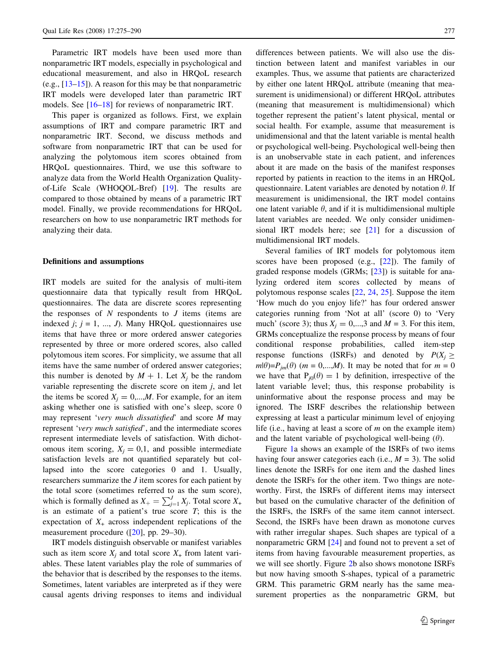Parametric IRT models have been used more than nonparametric IRT models, especially in psychological and educational measurement, and also in HRQoL research (e.g., [[13–15\]](#page-14-0)). A reason for this may be that nonparametric IRT models were developed later than parametric IRT models. See [[16–18\]](#page-14-0) for reviews of nonparametric IRT.

This paper is organized as follows. First, we explain assumptions of IRT and compare parametric IRT and nonparametric IRT. Second, we discuss methods and software from nonparametric IRT that can be used for analyzing the polytomous item scores obtained from HRQoL questionnaires. Third, we use this software to analyze data from the World Health Organization Qualityof-Life Scale (WHOQOL-Bref) [[19\]](#page-14-0). The results are compared to those obtained by means of a parametric IRT model. Finally, we provide recommendations for HRQoL researchers on how to use nonparametric IRT methods for analyzing their data.

#### Definitions and assumptions

IRT models are suited for the analysis of multi-item questionnaire data that typically result from HRQoL questionnaires. The data are discrete scores representing the responses of  $N$  respondents to  $J$  items (items are indexed  $j$ ;  $j = 1, ..., J$ ). Many HRQoL questionnaires use items that have three or more ordered answer categories represented by three or more ordered scores, also called polytomous item scores. For simplicity, we assume that all items have the same number of ordered answer categories; this number is denoted by  $M + 1$ . Let  $X_i$  be the random variable representing the discrete score on item  $j$ , and let the items be scored  $X_i = 0,...,M$ . For example, for an item asking whether one is satisfied with one's sleep, score 0 may represent 'very much dissatisfied' and score M may represent 'very much satisfied', and the intermediate scores represent intermediate levels of satisfaction. With dichotomous item scoring,  $X_i = 0,1$ , and possible intermediate satisfaction levels are not quantified separately but collapsed into the score categories 0 and 1. Usually, researchers summarize the J item scores for each patient by the total score (sometimes referred to as the sum score), which is formally defined as  $X_+ = \sum_{j=1}^{J} X_j$ . Total score  $X_+$ is an estimate of a patient's true score  $T$ ; this is the expectation of  $X_{+}$  across independent replications of the measurement procedure ([[20\]](#page-14-0), pp. 29–30).

IRT models distinguish observable or manifest variables such as item score  $X_i$  and total score  $X_+$  from latent variables. These latent variables play the role of summaries of the behavior that is described by the responses to the items. Sometimes, latent variables are interpreted as if they were causal agents driving responses to items and individual differences between patients. We will also use the distinction between latent and manifest variables in our examples. Thus, we assume that patients are characterized by either one latent HRQoL attribute (meaning that measurement is unidimensional) or different HRQoL attributes (meaning that measurement is multidimensional) which together represent the patient's latent physical, mental or social health. For example, assume that measurement is unidimensional and that the latent variable is mental health or psychological well-being. Psychological well-being then is an unobservable state in each patient, and inferences about it are made on the basis of the manifest responses reported by patients in reaction to the items in an HRQoL questionnaire. Latent variables are denoted by notation  $\theta$ . If measurement is unidimensional, the IRT model contains one latent variable  $\theta$ , and if it is multidimensional multiple latent variables are needed. We only consider unidimensional IRT models here; see [\[21](#page-14-0)] for a discussion of multidimensional IRT models.

Several families of IRT models for polytomous item scores have been proposed (e.g., [[22\]](#page-15-0)). The family of graded response models (GRMs; [[23](#page-15-0)]) is suitable for analyzing ordered item scores collected by means of polytomous response scales [[22](#page-15-0), [24,](#page-15-0) [25](#page-15-0)]. Suppose the item 'How much do you enjoy life?' has four ordered answer categories running from 'Not at all' (score 0) to 'Very much' (score 3); thus  $X_i = 0, \dots, 3$  and  $M = 3$ . For this item, GRMs conceptualize the response process by means of four conditional response probabilities, called item-step response functions (ISRFs) and denoted by  $P(X_i \geq$  $m(\theta)=P_{im}(\theta)$  (m = 0,...,M). It may be noted that for  $m=0$ we have that  $P_{i0}(\theta) = 1$  by definition, irrespective of the latent variable level; thus, this response probability is uninformative about the response process and may be ignored. The ISRF describes the relationship between expressing at least a particular minimum level of enjoying life (i.e., having at least a score of  $m$  on the example item) and the latent variable of psychological well-being  $(\theta)$ .

Figure [1a](#page-3-0) shows an example of the ISRFs of two items having four answer categories each (i.e.,  $M = 3$ ). The solid lines denote the ISRFs for one item and the dashed lines denote the ISRFs for the other item. Two things are noteworthy. First, the ISRFs of different items may intersect but based on the cumulative character of the definition of the ISRFs, the ISRFs of the same item cannot intersect. Second, the ISRFs have been drawn as monotone curves with rather irregular shapes. Such shapes are typical of a nonparametric GRM [[24\]](#page-15-0) and found not to prevent a set of items from having favourable measurement properties, as we will see shortly. Figure [2](#page-3-0)b also shows monotone ISRFs but now having smooth S-shapes, typical of a parametric GRM. This parametric GRM nearly has the same measurement properties as the nonparametric GRM, but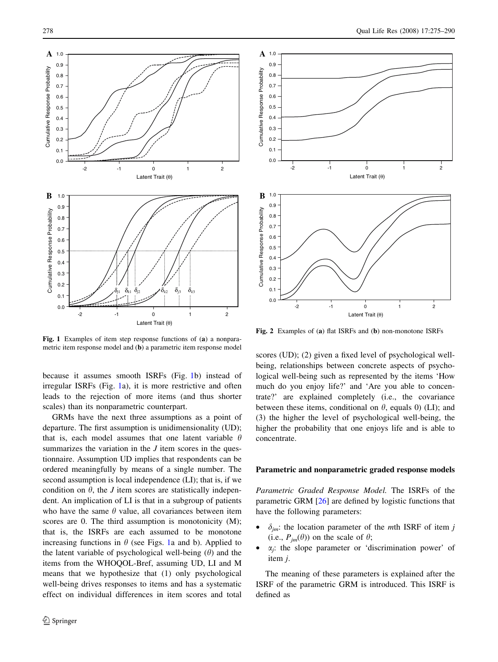<span id="page-3-0"></span>

Fig. 1 Examples of item step response functions of (a) a nonparametric item response model and (b) a parametric item response model

because it assumes smooth ISRFs (Fig. 1b) instead of irregular ISRFs (Fig. 1a), it is more restrictive and often leads to the rejection of more items (and thus shorter scales) than its nonparametric counterpart.

GRMs have the next three assumptions as a point of departure. The first assumption is unidimensionality (UD); that is, each model assumes that one latent variable  $\theta$ summarizes the variation in the  $J$  item scores in the questionnaire. Assumption UD implies that respondents can be ordered meaningfully by means of a single number. The second assumption is local independence (LI); that is, if we condition on  $\theta$ , the *J* item scores are statistically independent. An implication of LI is that in a subgroup of patients who have the same  $\theta$  value, all covariances between item scores are 0. The third assumption is monotonicity (M); that is, the ISRFs are each assumed to be monotone increasing functions in  $\theta$  (see Figs. 1a and b). Applied to the latent variable of psychological well-being  $(\theta)$  and the items from the WHOQOL-Bref, assuming UD, LI and M means that we hypothesize that (1) only psychological well-being drives responses to items and has a systematic effect on individual differences in item scores and total



Fig. 2 Examples of (a) flat ISRFs and (b) non-monotone ISRFs

scores (UD); (2) given a fixed level of psychological wellbeing, relationships between concrete aspects of psychological well-being such as represented by the items 'How much do you enjoy life?' and 'Are you able to concentrate?' are explained completely (i.e., the covariance between these items, conditional on  $\theta$ , equals 0) (LI); and (3) the higher the level of psychological well-being, the higher the probability that one enjoys life and is able to concentrate.

## Parametric and nonparametric graded response models

Parametric Graded Response Model. The ISRFs of the parametric GRM [[26\]](#page-15-0) are defined by logistic functions that have the following parameters:

- $\delta_{jm}$ : the location parameter of the *m*th ISRF of item j (i.e.,  $P_{jm}(\theta)$ ) on the scale of  $\theta$ ;
- $\alpha_i$ : the slope parameter or 'discrimination power' of item j.

The meaning of these parameters is explained after the ISRF of the parametric GRM is introduced. This ISRF is defined as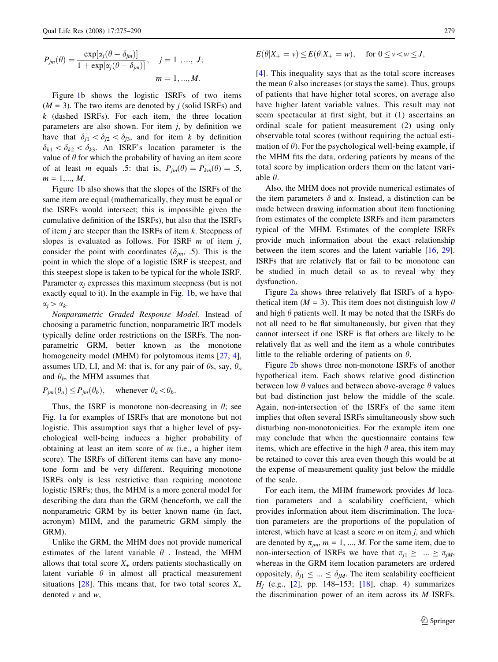$$
P_{jm}(\theta) = \frac{\exp[\alpha_j(\theta - \delta_{jm})]}{1 + \exp[\alpha_j(\theta - \delta_{jm})]}, \quad j = 1, ..., J;
$$

$$
m = 1, ..., M.
$$

Figure [1b](#page-3-0) shows the logistic ISRFs of two items  $(M = 3)$ . The two items are denoted by *j* (solid ISRFs) and  $k$  (dashed ISRFs). For each item, the three location parameters are also shown. For item  $j$ , by definition we have that  $\delta_{i1} < \delta_{i2} < \delta_{i3}$ , and for item k by definition  $\delta_{k1} < \delta_{k2} < \delta_{k3}$ . An ISRF's location parameter is the value of  $\theta$  for which the probability of having an item score of at least *m* equals .5: that is,  $P_{jm}(\theta) = P_{km}(\theta) = .5$ ,  $m = 1, \dots, M$ .

Figure [1b](#page-3-0) also shows that the slopes of the ISRFs of the same item are equal (mathematically, they must be equal or the ISRFs would intersect; this is impossible given the cumulative definition of the ISRFs), but also that the ISRFs of item  $j$  are steeper than the ISRFs of item  $k$ . Steepness of slopes is evaluated as follows. For ISRF  $m$  of item  $j$ , consider the point with coordinates ( $\delta_{im}$ , .5). This is the point in which the slope of a logistic ISRF is steepest, and this steepest slope is taken to be typical for the whole ISRF. Parameter  $\alpha_i$  expresses this maximum steepness (but is not exactly equal to it). In the example in Fig. [1](#page-3-0)b, we have that  $\alpha_i > \alpha_k$ .

Nonparametric Graded Response Model. Instead of choosing a parametric function, nonparametric IRT models typically define order restrictions on the ISRFs. The nonparametric GRM, better known as the monotone homogeneity model (MHM) for polytomous items [[27,](#page-15-0) [4](#page-14-0)], assumes UD, LI, and M: that is, for any pair of  $\theta$ s, say,  $\theta_a$ and  $\theta_b$ , the MHM assumes that

$$
P_{jm}(\theta_a) \le P_{jm}(\theta_b)
$$
, whenever  $\theta_a < \theta_b$ .

Thus, the ISRF is monotone non-decreasing in  $\theta$ ; see Fig. [1](#page-3-0)a for examples of ISRFs that are monotone but not logistic. This assumption says that a higher level of psychological well-being induces a higher probability of obtaining at least an item score of  $m$  (i.e., a higher item score). The ISRFs of different items can have any monotone form and be very different. Requiring monotone ISRFs only is less restrictive than requiring monotone logistic ISRFs; thus, the MHM is a more general model for describing the data than the GRM (henceforth, we call the nonparametric GRM by its better known name (in fact, acronym) MHM, and the parametric GRM simply the GRM).

Unlike the GRM, the MHM does not provide numerical estimates of the latent variable  $\theta$ . Instead, the MHM allows that total score  $X_+$  orders patients stochastically on latent variable  $\theta$  in almost all practical measurement situations [\[28](#page-15-0)]. This means that, for two total scores  $X_+$ denoted  $v$  and  $w$ ,

$$
E(\theta|X_+ = v) \le E(\theta|X_+ = w), \quad \text{ for } 0 \le v < w \le J,
$$

[[4\]](#page-14-0). This inequality says that as the total score increases the mean  $\theta$  also increases (or stays the same). Thus, groups of patients that have higher total scores, on average also have higher latent variable values. This result may not seem spectacular at first sight, but it (1) ascertains an ordinal scale for patient measurement (2) using only observable total scores (without requiring the actual estimation of  $\theta$ ). For the psychological well-being example, if the MHM fits the data, ordering patients by means of the total score by implication orders them on the latent variable  $\theta$ .

Also, the MHM does not provide numerical estimates of the item parameters  $\delta$  and  $\alpha$ . Instead, a distinction can be made between drawing information about item functioning from estimates of the complete ISRFs and item parameters typical of the MHM. Estimates of the complete ISRFs provide much information about the exact relationship between the item scores and the latent variable [[16,](#page-14-0) [29](#page-15-0)]. ISRFs that are relatively flat or fail to be monotone can be studied in much detail so as to reveal why they dysfunction.

Figure [2a](#page-3-0) shows three relatively flat ISRFs of a hypothetical item ( $M = 3$ ). This item does not distinguish low  $\theta$ and high  $\theta$  patients well. It may be noted that the ISRFs do not all need to be flat simultaneously, but given that they cannot intersect if one ISRF is flat others are likely to be relatively flat as well and the item as a whole contributes little to the reliable ordering of patients on  $\theta$ .

Figure [2b](#page-3-0) shows three non-monotone ISRFs of another hypothetical item. Each shows relative good distinction between low  $\theta$  values and between above-average  $\theta$  values but bad distinction just below the middle of the scale. Again, non-intersection of the ISRFs of the same item implies that often several ISRFs simultaneously show such disturbing non-monotonicities. For the example item one may conclude that when the questionnaire contains few items, which are effective in the high  $\theta$  area, this item may be retained to cover this area even though this would be at the expense of measurement quality just below the middle of the scale.

For each item, the MHM framework provides M location parameters and a scalability coefficient, which provides information about item discrimination. The location parameters are the proportions of the population of interest, which have at least a score  $m$  on item  $j$ , and which are denoted by  $\pi_{jm}$ ,  $m = 1, ..., M$ . For the same item, due to non-intersection of ISRFs we have that  $\pi_{j1} \geq ... \geq \pi_{jM}$ , whereas in the GRM item location parameters are ordered oppositely,  $\delta_{i1} \leq ... \leq \delta_{iM}$ . The item scalability coefficient  $H_i$  (e.g., [[2\]](#page-14-0), pp. 148–153; [\[18](#page-14-0)], chap. 4) summarizes the discrimination power of an item across its M ISRFs.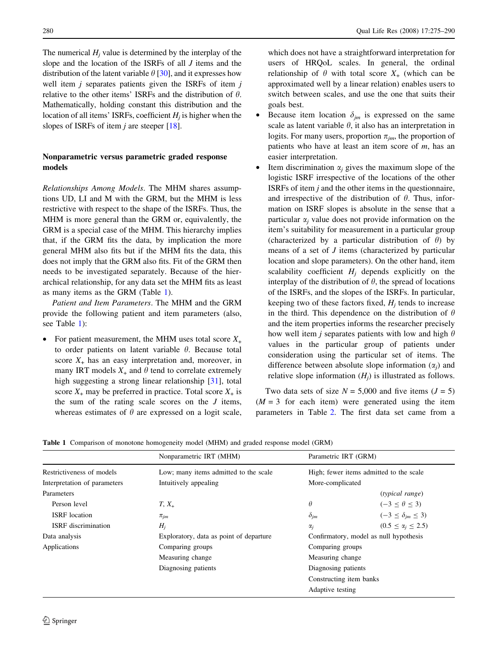<span id="page-5-0"></span>The numerical  $H_i$  value is determined by the interplay of the slope and the location of the ISRFs of all J items and the distribution of the latent variable  $\theta$  [[30\]](#page-15-0), and it expresses how well item  $j$  separates patients given the ISRFs of item  $j$ relative to the other items' ISRFs and the distribution of  $\theta$ . Mathematically, holding constant this distribution and the location of all items' ISRFs, coefficient  $H_i$  is higher when the slopes of ISRFs of item  $j$  are steeper [\[18\]](#page-14-0).

# Nonparametric versus parametric graded response models

Relationships Among Models. The MHM shares assumptions UD, LI and M with the GRM, but the MHM is less restrictive with respect to the shape of the ISRFs. Thus, the MHM is more general than the GRM or, equivalently, the GRM is a special case of the MHM. This hierarchy implies that, if the GRM fits the data, by implication the more general MHM also fits but if the MHM fits the data, this does not imply that the GRM also fits. Fit of the GRM then needs to be investigated separately. Because of the hierarchical relationship, for any data set the MHM fits as least as many items as the GRM (Table 1).

Patient and Item Parameters. The MHM and the GRM provide the following patient and item parameters (also, see Table 1):

For patient measurement, the MHM uses total score  $X_+$ to order patients on latent variable  $\theta$ . Because total score  $X_{+}$  has an easy interpretation and, moreover, in many IRT models  $X_+$  and  $\theta$  tend to correlate extremely high suggesting a strong linear relationship [[31\]](#page-15-0), total score  $X_+$  may be preferred in practice. Total score  $X_+$  is the sum of the rating scale scores on the  $J$  items, whereas estimates of  $\theta$  are expressed on a logit scale,

which does not have a straightforward interpretation for users of HRQoL scales. In general, the ordinal relationship of  $\theta$  with total score  $X_+$  (which can be approximated well by a linear relation) enables users to switch between scales, and use the one that suits their goals best.

- Because item location  $\delta_{im}$  is expressed on the same scale as latent variable  $\theta$ , it also has an interpretation in logits. For many users, proportion  $\pi_{jm}$ , the proportion of patients who have at least an item score of  $m$ , has an easier interpretation.
- Item discrimination  $\alpha_i$  gives the maximum slope of the logistic ISRF irrespective of the locations of the other ISRFs of item  $j$  and the other items in the questionnaire, and irrespective of the distribution of  $\theta$ . Thus, information on ISRF slopes is absolute in the sense that a particular  $\alpha_i$  value does not provide information on the item's suitability for measurement in a particular group (characterized by a particular distribution of  $\theta$ ) by means of a set of J items (characterized by particular location and slope parameters). On the other hand, item scalability coefficient  $H_i$  depends explicitly on the interplay of the distribution of  $\theta$ , the spread of locations of the ISRFs, and the slopes of the ISRFs. In particular, keeping two of these factors fixed,  $H_i$  tends to increase in the third. This dependence on the distribution of  $\theta$ and the item properties informs the researcher precisely how well item *j* separates patients with low and high  $\theta$ values in the particular group of patients under consideration using the particular set of items. The difference between absolute slope information  $(\alpha_i)$  and relative slope information  $(H<sub>i</sub>)$  is illustrated as follows.

Two data sets of size  $N = 5,000$  and five items  $(J = 5)$  $(M = 3$  for each item) were generated using the item parameters in Table [2.](#page-6-0) The first data set came from a

Table 1 Comparison of monotone homogeneity model (MHM) and graded response model (GRM)

|                              | Nonparametric IRT (MHM)                 | Parametric IRT (GRM)    |                                         |  |  |  |
|------------------------------|-----------------------------------------|-------------------------|-----------------------------------------|--|--|--|
| Restrictiveness of models    | Low; many items admitted to the scale   |                         | High; fewer items admitted to the scale |  |  |  |
| Interpretation of parameters | Intuitively appealing                   | More-complicated        |                                         |  |  |  |
| Parameters                   |                                         |                         | (typical range)                         |  |  |  |
| Person level                 | $T, X_+$                                | $\theta$                | $(-3 \leq \theta \leq 3)$               |  |  |  |
| <b>ISRF</b> location         | $\pi_{im}$                              | $\delta_{jm}$           | $(-3 \leq \delta_{im} \leq 3)$          |  |  |  |
| <b>ISRF</b> discrimination   | $H_i$                                   | $\alpha_i$              | $(0.5 \le \alpha_i \le 2.5)$            |  |  |  |
| Data analysis                | Exploratory, data as point of departure |                         | Confirmatory, model as null hypothesis  |  |  |  |
| Applications                 | Comparing groups                        |                         | Comparing groups                        |  |  |  |
|                              | Measuring change                        |                         | Measuring change.                       |  |  |  |
|                              | Diagnosing patients                     | Diagnosing patients     |                                         |  |  |  |
|                              |                                         | Constructing item banks |                                         |  |  |  |
|                              |                                         | Adaptive testing        |                                         |  |  |  |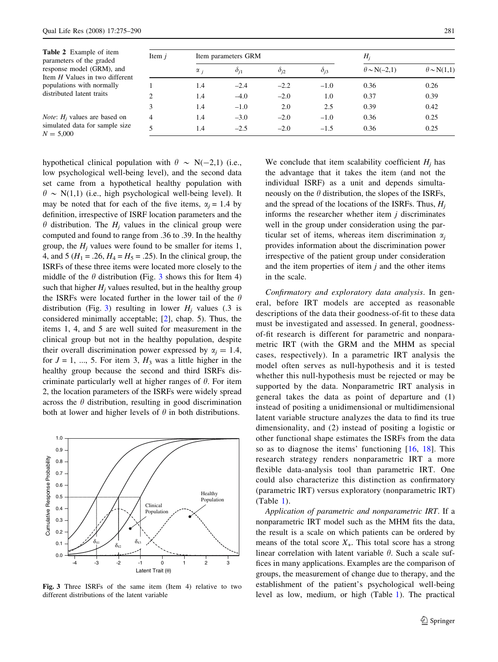<span id="page-6-0"></span>

| <b>Table 2</b> Example of item<br>parameters of the graded  | Item $i$       |            | Item parameters GRM | $H_i$         |                 |                       |                      |
|-------------------------------------------------------------|----------------|------------|---------------------|---------------|-----------------|-----------------------|----------------------|
| response model (GRM), and<br>Item H Values in two different |                | $\alpha_i$ | $\delta_{i1}$       | $\delta_{i2}$ | $\partial_{i3}$ | $\theta \sim N(-2,1)$ | $\theta \sim N(1,1)$ |
| populations with normally<br>distributed latent traits      |                | 1.4        | $-2.4$              | $-2.2$        | $-1.0$          | 0.36                  | 0.26                 |
|                                                             |                | 1.4        | $-4.0$              | $-2.0$        | 1.0             | 0.37                  | 0.39                 |
|                                                             |                | 1.4        | $-1.0$              | 2.0           | 2.5             | 0.39                  | 0.42                 |
| <i>Note:</i> $H_i$ values are based on                      | $\overline{4}$ | 1.4        | $-3.0$              | $-2.0$        | $-1.0$          | 0.36                  | 0.25                 |
| simulated data for sample size<br>$N = 5,000$               |                | 1.4        | $-2.5$              | $-2.0$        | $-1.5$          | 0.36                  | 0.25                 |

hypothetical clinical population with  $\theta \sim N(-2,1)$  (i.e., low psychological well-being level), and the second data set came from a hypothetical healthy population with  $\theta \sim N(1,1)$  (i.e., high psychological well-being level). It may be noted that for each of the five items,  $\alpha_i = 1.4$  by definition, irrespective of ISRF location parameters and the  $\theta$  distribution. The  $H_i$  values in the clinical group were computed and found to range from .36 to .39. In the healthy group, the  $H_i$  values were found to be smaller for items 1, 4, and 5 ( $H_1 = .26$ ,  $H_4 = H_5 = .25$ ). In the clinical group, the ISRFs of these three items were located more closely to the middle of the  $\theta$  distribution (Fig. 3 shows this for Item 4) such that higher  $H_i$  values resulted, but in the healthy group the ISRFs were located further in the lower tail of the  $\theta$ distribution (Fig. 3) resulting in lower  $H_i$  values (.3 is considered minimally acceptable; [[2\]](#page-14-0), chap. 5). Thus, the items 1, 4, and 5 are well suited for measurement in the clinical group but not in the healthy population, despite their overall discrimination power expressed by  $\alpha_i = 1.4$ , for  $J = 1, ..., 5$ . For item 3,  $H_3$  was a little higher in the healthy group because the second and third ISRFs discriminate particularly well at higher ranges of  $\theta$ . For item 2, the location parameters of the ISRFs were widely spread across the  $\theta$  distribution, resulting in good discrimination both at lower and higher levels of  $\theta$  in both distributions.



Fig. 3 Three ISRFs of the same item (Item 4) relative to two different distributions of the latent variable

We conclude that item scalability coefficient  $H_i$  has the advantage that it takes the item (and not the individual ISRF) as a unit and depends simultaneously on the  $\theta$  distribution, the slopes of the ISRFs, and the spread of the locations of the ISRFs. Thus,  $H_i$ informs the researcher whether item  $j$  discriminates well in the group under consideration using the particular set of items, whereas item discrimination  $\alpha_i$ provides information about the discrimination power irrespective of the patient group under consideration and the item properties of item  $j$  and the other items in the scale.

Confirmatory and exploratory data analysis. In general, before IRT models are accepted as reasonable descriptions of the data their goodness-of-fit to these data must be investigated and assessed. In general, goodnessof-fit research is different for parametric and nonparametric IRT (with the GRM and the MHM as special cases, respectively). In a parametric IRT analysis the model often serves as null-hypothesis and it is tested whether this null-hypothesis must be rejected or may be supported by the data. Nonparametric IRT analysis in general takes the data as point of departure and (1) instead of positing a unidimensional or multidimensional latent variable structure analyzes the data to find its true dimensionality, and (2) instead of positing a logistic or other functional shape estimates the ISRFs from the data so as to diagnose the items' functioning [\[16,](#page-14-0) [18\]](#page-14-0). This research strategy renders nonparametric IRT a more flexible data-analysis tool than parametric IRT. One could also characterize this distinction as confirmatory (parametric IRT) versus exploratory (nonparametric IRT) (Table [1\)](#page-5-0).

Application of parametric and nonparametric IRT. If a nonparametric IRT model such as the MHM fits the data, the result is a scale on which patients can be ordered by means of the total score  $X_{+}$ . This total score has a strong linear correlation with latent variable  $\theta$ . Such a scale suffices in many applications. Examples are the comparison of groups, the measurement of change due to therapy, and the establishment of the patient's psychological well-being level as low, medium, or high (Table [1](#page-5-0)). The practical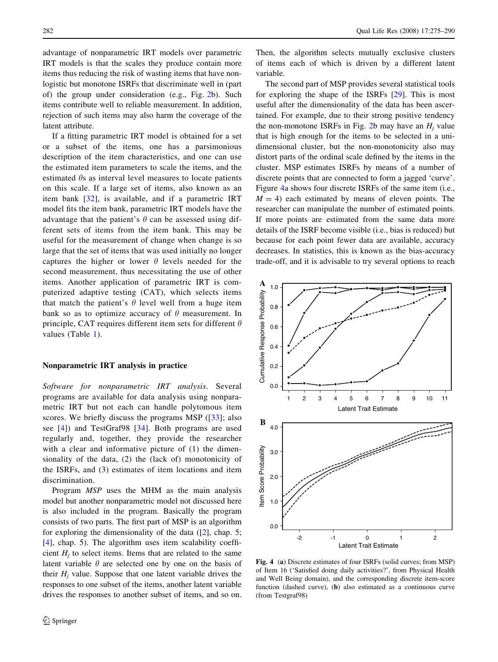<span id="page-7-0"></span>advantage of nonparametric IRT models over parametric IRT models is that the scales they produce contain more items thus reducing the risk of wasting items that have nonlogistic but monotone ISRFs that discriminate well in (part of) the group under consideration (e.g., Fig. [2b](#page-3-0)). Such items contribute well to reliable measurement. In addition, rejection of such items may also harm the coverage of the latent attribute.

If a fitting parametric IRT model is obtained for a set or a subset of the items, one has a parsimonious description of the item characteristics, and one can use the estimated item parameters to scale the items, and the estimated  $\theta$ s as interval level measures to locate patients on this scale. If a large set of items, also known as an item bank [\[32](#page-15-0)], is available, and if a parametric IRT model fits the item bank, parametric IRT models have the advantage that the patient's  $\theta$  can be assessed using different sets of items from the item bank. This may be useful for the measurement of change when change is so large that the set of items that was used initially no longer captures the higher or lower  $\theta$  levels needed for the second measurement, thus necessitating the use of other items. Another application of parametric IRT is computerized adaptive testing (CAT), which selects items that match the patient's  $\theta$  level well from a huge item bank so as to optimize accuracy of  $\theta$  measurement. In principle, CAT requires different item sets for different  $\theta$ values (Table [1](#page-5-0)).

### Nonparametric IRT analysis in practice

Software for nonparametric IRT analysis. Several programs are available for data analysis using nonparametric IRT but not each can handle polytomous item scores. We briefly discuss the programs MSP ([[33\]](#page-15-0); also see [\[4](#page-14-0)]) and TestGraf98 [[34](#page-15-0)]. Both programs are used regularly and, together, they provide the researcher with a clear and informative picture of  $(1)$  the dimensionality of the data, (2) the (lack of) monotonicity of the ISRFs, and (3) estimates of item locations and item discrimination.

Program MSP uses the MHM as the main analysis model but another nonparametric model not discussed here is also included in the program. Basically the program consists of two parts. The first part of MSP is an algorithm for exploring the dimensionality of the data ([[2\]](#page-14-0), chap. 5; [\[4](#page-14-0)], chap. 5). The algorithm uses item scalability coefficient  $H_i$  to select items. Items that are related to the same latent variable  $\theta$  are selected one by one on the basis of their  $H_i$  value. Suppose that one latent variable drives the responses to one subset of the items, another latent variable drives the responses to another subset of items, and so on.

Then, the algorithm selects mutually exclusive clusters of items each of which is driven by a different latent variable.

The second part of MSP provides several statistical tools for exploring the shape of the ISRFs [\[29](#page-15-0)]. This is most useful after the dimensionality of the data has been ascertained. For example, due to their strong positive tendency the non-monotone ISRFs in Fig. [2](#page-3-0)b may have an  $H_i$  value that is high enough for the items to be selected in a unidimensional cluster, but the non-monotonicity also may distort parts of the ordinal scale defined by the items in the cluster. MSP estimates ISRFs by means of a number of discrete points that are connected to form a jagged 'curve'. Figure 4a shows four discrete ISRFs of the same item (i.e.,  $M = 4$ ) each estimated by means of eleven points. The researcher can manipulate the number of estimated points. If more points are estimated from the same data more details of the ISRF become visible (i.e., bias is reduced) but because for each point fewer data are available, accuracy decreases. In statistics, this is known as the bias-accuracy trade-off, and it is advisable to try several options to reach



Fig. 4 (a) Discrete estimates of four ISRFs (solid curves; from MSP) of Item 16 ('Satisfied doing daily activities?', from Physical Health and Well Being domain), and the corresponding discrete item-score function (dashed curve), (b) also estimated as a continuous curve (from Testgraf98)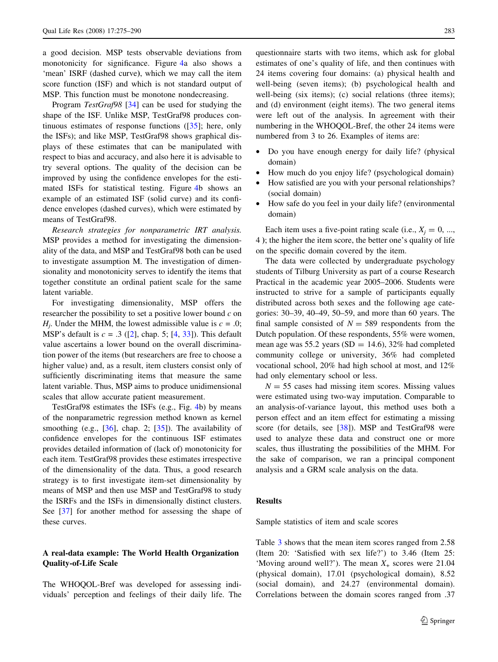a good decision. MSP tests observable deviations from monotonicity for significance. Figure [4](#page-7-0)a also shows a 'mean' ISRF (dashed curve), which we may call the item score function (ISF) and which is not standard output of MSP. This function must be monotone nondecreasing.

Program TestGraf98 [\[34](#page-15-0)] can be used for studying the shape of the ISF. Unlike MSP, TestGraf98 produces continuous estimates of response functions ([[35\]](#page-15-0); here, only the ISFs); and like MSP, TestGraf98 shows graphical displays of these estimates that can be manipulated with respect to bias and accuracy, and also here it is advisable to try several options. The quality of the decision can be improved by using the confidence envelopes for the estimated ISFs for statistical testing. Figure [4b](#page-7-0) shows an example of an estimated ISF (solid curve) and its confidence envelopes (dashed curves), which were estimated by means of TestGraf98.

Research strategies for nonparametric IRT analysis. MSP provides a method for investigating the dimensionality of the data, and MSP and TestGraf98 both can be used to investigate assumption M. The investigation of dimensionality and monotonicity serves to identify the items that together constitute an ordinal patient scale for the same latent variable.

For investigating dimensionality, MSP offers the researcher the possibility to set a positive lower bound  $c$  on  $H_i$ . Under the MHM, the lowest admissible value is  $c = .0$ ; MSP's default is  $c = .3$  ([[2](#page-14-0)], chap. 5; [[4,](#page-14-0) [33](#page-15-0)]). This default value ascertains a lower bound on the overall discrimination power of the items (but researchers are free to choose a higher value) and, as a result, item clusters consist only of sufficiently discriminating items that measure the same latent variable. Thus, MSP aims to produce unidimensional scales that allow accurate patient measurement.

TestGraf98 estimates the ISFs (e.g., Fig. [4](#page-7-0)b) by means of the nonparametric regression method known as kernel smoothing (e.g.,  $[36]$  $[36]$ , chap. 2;  $[35]$  $[35]$ ). The availability of confidence envelopes for the continuous ISF estimates provides detailed information of (lack of) monotonicity for each item. TestGraf98 provides these estimates irrespective of the dimensionality of the data. Thus, a good research strategy is to first investigate item-set dimensionality by means of MSP and then use MSP and TestGraf98 to study the ISRFs and the ISFs in dimensionally distinct clusters. See [[37\]](#page-15-0) for another method for assessing the shape of these curves.

## A real-data example: The World Health Organization Quality-of-Life Scale

The WHOQOL-Bref was developed for assessing individuals' perception and feelings of their daily life. The questionnaire starts with two items, which ask for global estimates of one's quality of life, and then continues with 24 items covering four domains: (a) physical health and well-being (seven items); (b) psychological health and well-being (six items); (c) social relations (three items); and (d) environment (eight items). The two general items were left out of the analysis. In agreement with their numbering in the WHOQOL-Bref, the other 24 items were numbered from 3 to 26. Examples of items are:

- Do you have enough energy for daily life? (physical domain)
- How much do you enjoy life? (psychological domain)
- How satisfied are you with your personal relationships? (social domain)
- How safe do you feel in your daily life? (environmental domain)

Each item uses a five-point rating scale (i.e.,  $X_i = 0, \dots$ , 4 ); the higher the item score, the better one's quality of life on the specific domain covered by the item.

The data were collected by undergraduate psychology students of Tilburg University as part of a course Research Practical in the academic year 2005–2006. Students were instructed to strive for a sample of participants equally distributed across both sexes and the following age categories: 30–39, 40–49, 50–59, and more than 60 years. The final sample consisted of  $N = 589$  respondents from the Dutch population. Of these respondents, 55% were women, mean age was 55.2 years ( $SD = 14.6$ ), 32% had completed community college or university, 36% had completed vocational school, 20% had high school at most, and 12% had only elementary school or less.

 $N = 55$  cases had missing item scores. Missing values were estimated using two-way imputation. Comparable to an analysis-of-variance layout, this method uses both a person effect and an item effect for estimating a missing score (for details, see [\[38](#page-15-0)]). MSP and TestGraf98 were used to analyze these data and construct one or more scales, thus illustrating the possibilities of the MHM. For the sake of comparison, we ran a principal component analysis and a GRM scale analysis on the data.

## Results

Sample statistics of item and scale scores

Table [3](#page-9-0) shows that the mean item scores ranged from 2.58 (Item 20: 'Satisfied with sex life?') to 3.46 (Item 25: 'Moving around well?'). The mean  $X_+$  scores were 21.04 (physical domain), 17.01 (psychological domain), 8.52 (social domain), and 24.27 (environmental domain). Correlations between the domain scores ranged from .37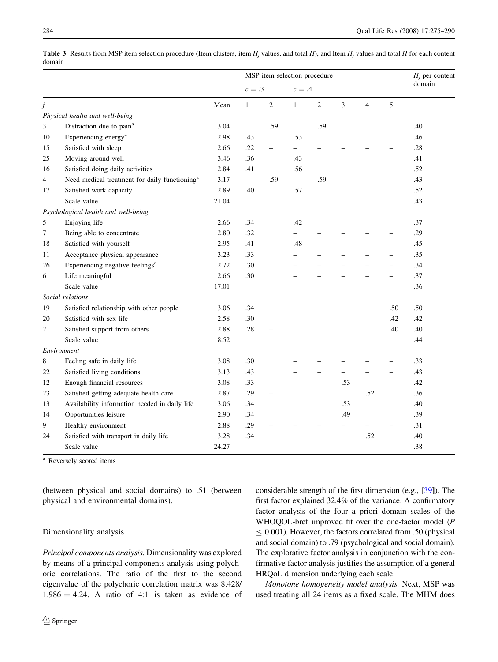<span id="page-9-0"></span>**Table 3** Results from MSP item selection procedure (Item clusters, item  $H_i$  values, and total  $H$ ), and Item  $H_i$  values and total  $H$  for each content domain

|    |                                                           |       | MSP item selection procedure |                          |                          |                |     | $H_i$ per content |     |        |
|----|-----------------------------------------------------------|-------|------------------------------|--------------------------|--------------------------|----------------|-----|-------------------|-----|--------|
|    |                                                           |       | $c=.3$                       |                          | $c = .4$                 |                |     |                   |     | domain |
| j  |                                                           | Mean  | $\mathbf{1}$                 | $\overline{2}$           | $\mathbf{1}$             | $\overline{c}$ | 3   | $\overline{4}$    | 5   |        |
|    | Physical health and well-being                            |       |                              |                          |                          |                |     |                   |     |        |
| 3  | Distraction due to pain <sup>a</sup>                      | 3.04  |                              | .59                      |                          | .59            |     |                   |     | .40    |
| 10 | Experiencing energy <sup>a</sup>                          | 2.98  | .43                          |                          | .53                      |                |     |                   |     | .46    |
| 15 | Satisfied with sleep                                      | 2.66  | .22                          | $\equiv$                 | $\overline{\phantom{0}}$ |                |     |                   |     | .28    |
| 25 | Moving around well                                        | 3.46  | .36                          |                          | .43                      |                |     |                   |     | .41    |
| 16 | Satisfied doing daily activities                          | 2.84  | .41                          |                          | .56                      |                |     |                   |     | .52    |
| 4  | Need medical treatment for daily functioning <sup>a</sup> | 3.17  |                              | .59                      |                          | .59            |     |                   |     | .43    |
| 17 | Satisfied work capacity                                   | 2.89  | .40                          |                          | .57                      |                |     |                   |     | .52    |
|    | Scale value                                               | 21.04 |                              |                          |                          |                |     |                   |     | .43    |
|    | Psychological health and well-being                       |       |                              |                          |                          |                |     |                   |     |        |
| 5  | Enjoying life                                             | 2.66  | .34                          |                          | .42                      |                |     |                   |     | .37    |
| 7  | Being able to concentrate                                 | 2.80  | .32                          |                          |                          |                |     |                   |     | .29    |
| 18 | Satisfied with yourself                                   | 2.95  | .41                          |                          | .48                      |                |     |                   |     | .45    |
| 11 | Acceptance physical appearance                            | 3.23  | .33                          |                          |                          |                |     |                   |     | .35    |
| 26 | Experiencing negative feelings <sup>a</sup>               | 2.72  | .30                          |                          |                          |                |     |                   |     | .34    |
| 6  | Life meaningful                                           | 2.66  | .30                          |                          |                          |                |     |                   |     | .37    |
|    | Scale value                                               | 17.01 |                              |                          |                          |                |     |                   |     | .36    |
|    | Social relations                                          |       |                              |                          |                          |                |     |                   |     |        |
| 19 | Satisfied relationship with other people                  | 3.06  | .34                          |                          |                          |                |     |                   | .50 | .50    |
| 20 | Satisfied with sex life                                   | 2.58  | .30                          |                          |                          |                |     |                   | .42 | .42    |
| 21 | Satisfied support from others                             | 2.88  | .28                          |                          |                          |                |     |                   | .40 | .40    |
|    | Scale value                                               | 8.52  |                              |                          |                          |                |     |                   |     | .44    |
|    | Environment                                               |       |                              |                          |                          |                |     |                   |     |        |
| 8  | Feeling safe in daily life                                | 3.08  | .30                          |                          |                          |                |     |                   |     | .33    |
| 22 | Satisfied living conditions                               | 3.13  | .43                          |                          |                          |                |     |                   |     | .43    |
| 12 | Enough financial resources                                | 3.08  | .33                          |                          |                          |                | .53 |                   |     | .42    |
| 23 | Satisfied getting adequate health care                    | 2.87  | .29                          | $\overline{\phantom{0}}$ |                          |                |     | .52               |     | .36    |
| 13 | Availability information needed in daily life             | 3.06  | .34                          |                          |                          |                | .53 |                   |     | .40    |
| 14 | Opportunities leisure                                     | 2.90  | .34                          |                          |                          |                | .49 |                   |     | .39    |
| 9  | Healthy environment                                       | 2.88  | .29                          |                          |                          |                |     |                   |     | .31    |
| 24 | Satisfied with transport in daily life                    | 3.28  | .34                          |                          |                          |                |     | .52               |     | .40    |
|    | Scale value                                               | 24.27 |                              |                          |                          |                |     |                   |     | .38    |

<sup>a</sup> Reversely scored items

(between physical and social domains) to .51 (between physical and environmental domains).

## Dimensionality analysis

Principal components analysis. Dimensionality was explored by means of a principal components analysis using polychoric correlations. The ratio of the first to the second eigenvalue of the polychoric correlation matrix was 8.428/  $1.986 = 4.24$ . A ratio of 4:1 is taken as evidence of considerable strength of the first dimension (e.g., [\[39](#page-15-0)]). The first factor explained 32.4% of the variance. A confirmatory factor analysis of the four a priori domain scales of the WHOQOL-bref improved fit over the one-factor model (P  $\leq 0.001$ ). However, the factors correlated from .50 (physical and social domain) to .79 (psychological and social domain). The explorative factor analysis in conjunction with the confirmative factor analysis justifies the assumption of a general HRQoL dimension underlying each scale.

Monotone homogeneity model analysis. Next, MSP was used treating all 24 items as a fixed scale. The MHM does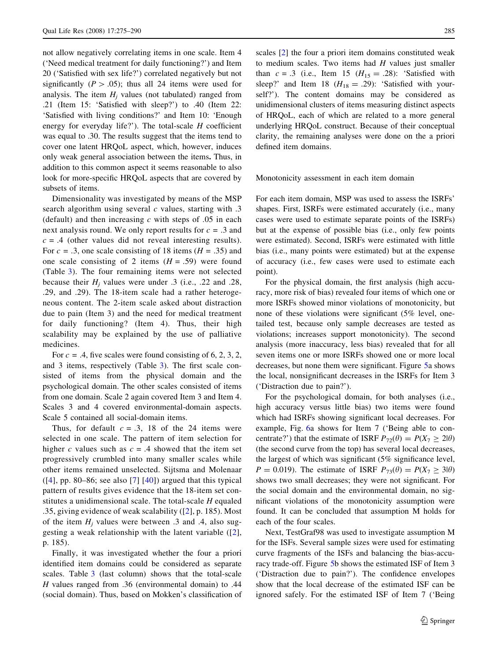not allow negatively correlating items in one scale. Item 4 ('Need medical treatment for daily functioning?') and Item 20 ('Satisfied with sex life?') correlated negatively but not significantly ( $P > .05$ ); thus all 24 items were used for analysis. The item  $H_i$  values (not tabulated) ranged from .21 (Item 15: 'Satisfied with sleep?') to .40 (Item 22: 'Satisfied with living conditions?' and Item 10: 'Enough energy for everyday life?'). The total-scale  $H$  coefficient was equal to .30. The results suggest that the items tend to cover one latent HRQoL aspect, which, however, induces only weak general association between the items. Thus, in addition to this common aspect it seems reasonable to also look for more-specific HRQoL aspects that are covered by subsets of items.

Dimensionality was investigated by means of the MSP search algorithm using several  $c$  values, starting with  $.3$ (default) and then increasing  $c$  with steps of  $.05$  in each next analysis round. We only report results for  $c = .3$  and  $c = .4$  (other values did not reveal interesting results). For  $c = .3$ , one scale consisting of 18 items ( $H = .35$ ) and one scale consisting of 2 items  $(H = .59)$  were found (Table [3\)](#page-9-0). The four remaining items were not selected because their  $H_i$  values were under .3 (i.e., .22 and .28, .29, and .29). The 18-item scale had a rather heterogeneous content. The 2-item scale asked about distraction due to pain (Item 3) and the need for medical treatment for daily functioning? (Item 4). Thus, their high scalability may be explained by the use of palliative medicines.

For  $c = .4$ , five scales were found consisting of 6, 2, 3, 2, and 3 items, respectively (Table [3](#page-9-0)). The first scale consisted of items from the physical domain and the psychological domain. The other scales consisted of items from one domain. Scale 2 again covered Item 3 and Item 4. Scales 3 and 4 covered environmental-domain aspects. Scale 5 contained all social-domain items.

Thus, for default  $c = .3$ , 18 of the 24 items were selected in one scale. The pattern of item selection for higher c values such as  $c = .4$  showed that the item set progressively crumbled into many smaller scales while other items remained unselected. Sijtsma and Molenaar  $([4]$  $([4]$  $([4]$ , pp. 80–86; see also [[7\]](#page-14-0) [\[40\]](#page-15-0)) argued that this typical pattern of results gives evidence that the 18-item set constitutes a unidimensional scale. The total-scale  $H$  equaled .35, giving evidence of weak scalability  $(2]$  $(2]$ , p. 185). Most of the item  $H_i$  values were between .3 and .4, also suggesting a weak relationship with the latent variable ([[2](#page-14-0)], p. 185).

Finally, it was investigated whether the four a priori identified item domains could be considered as separate scales. Table [3](#page-9-0) (last column) shows that the total-scale H values ranged from .36 (environmental domain) to .44 (social domain). Thus, based on Mokken's classification of scales [[2\]](#page-14-0) the four a priori item domains constituted weak to medium scales. Two items had  $H$  values just smaller than  $c = .3$  (i.e., Item 15 ( $H_{15} = .28$ ): 'Satisfied with sleep?' and Item 18 ( $H_{18} = .29$ ): 'Satisfied with yourself?'). The content domains may be considered as unidimensional clusters of items measuring distinct aspects of HRQoL, each of which are related to a more general underlying HRQoL construct. Because of their conceptual clarity, the remaining analyses were done on the a priori defined item domains.

Monotonicity assessment in each item domain

For each item domain, MSP was used to assess the ISRFs' shapes. First, ISRFs were estimated accurately (i.e., many cases were used to estimate separate points of the ISRFs) but at the expense of possible bias (i.e., only few points were estimated). Second, ISRFs were estimated with little bias (i.e., many points were estimated) but at the expense of accuracy (i.e., few cases were used to estimate each point).

For the physical domain, the first analysis (high accuracy, more risk of bias) revealed four items of which one or more ISRFs showed minor violations of monotonicity, but none of these violations were significant (5% level, onetailed test, because only sample decreases are tested as violations; increases support monotonicity). The second analysis (more inaccuracy, less bias) revealed that for all seven items one or more ISRFs showed one or more local decreases, but none them were significant. Figure [5](#page-11-0)a shows the local, nonsignificant decreases in the ISRFs for Item 3 ('Distraction due to pain?').

For the psychological domain, for both analyses (i.e., high accuracy versus little bias) two items were found which had ISRFs showing significant local decreases. For example, Fig. [6](#page-11-0)a shows for Item 7 ('Being able to concentrate?') that the estimate of ISRF  $P_{72}(\theta) = P(X_7 \ge 2|\theta)$ (the second curve from the top) has several local decreases, the largest of which was significant (5% significance level,  $P = 0.019$ . The estimate of ISRF  $P_{73}(\theta) = P(X_7 \ge 3|\theta)$ shows two small decreases; they were not significant. For the social domain and the environmental domain, no significant violations of the monotonicity assumption were found. It can be concluded that assumption M holds for each of the four scales.

Next, TestGraf98 was used to investigate assumption M for the ISFs. Several sample sizes were used for estimating curve fragments of the ISFs and balancing the bias-accuracy trade-off. Figure [5](#page-11-0)b shows the estimated ISF of Item 3 ('Distraction due to pain?'). The confidence envelopes show that the local decrease of the estimated ISF can be ignored safely. For the estimated ISF of Item 7 ('Being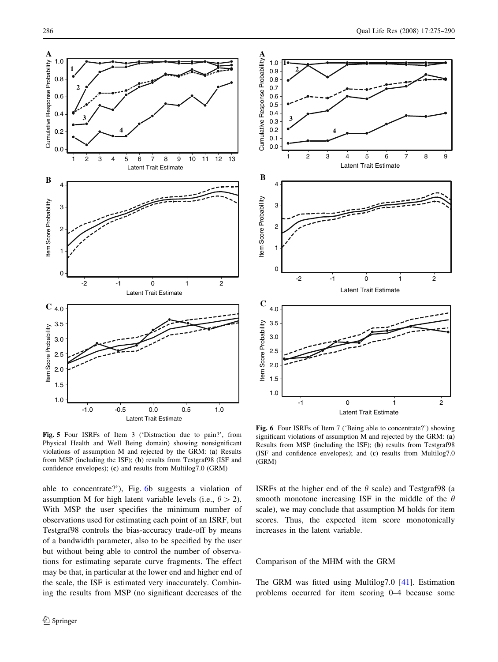<span id="page-11-0"></span>



Fig. 5 Four ISRFs of Item 3 ('Distraction due to pain?', from Physical Health and Well Being domain) showing nonsignificant violations of assumption M and rejected by the GRM: (a) Results from MSP (including the ISF); (b) results from Testgraf98 (ISF and confidence envelopes); (c) and results from Multilog7.0 (GRM)

able to concentrate?'), Fig. 6b suggests a violation of assumption M for high latent variable levels (i.e.,  $\theta > 2$ ). With MSP the user specifies the minimum number of observations used for estimating each point of an ISRF, but Testgraf98 controls the bias-accuracy trade-off by means of a bandwidth parameter, also to be specified by the user but without being able to control the number of observations for estimating separate curve fragments. The effect may be that, in particular at the lower end and higher end of the scale, the ISF is estimated very inaccurately. Combining the results from MSP (no significant decreases of the

Fig. 6 Four ISRFs of Item 7 ('Being able to concentrate?') showing significant violations of assumption M and rejected by the GRM: (a) Results from MSP (including the ISF); (b) results from Testgraf98 (ISF and confidence envelopes); and (c) results from Multilog7.0 (GRM)

ISRFs at the higher end of the  $\theta$  scale) and Testgraf98 (a smooth monotone increasing ISF in the middle of the  $\theta$ scale), we may conclude that assumption M holds for item scores. Thus, the expected item score monotonically increases in the latent variable.

## Comparison of the MHM with the GRM

The GRM was fitted using Multilog7.0 [\[41](#page-15-0)]. Estimation problems occurred for item scoring 0–4 because some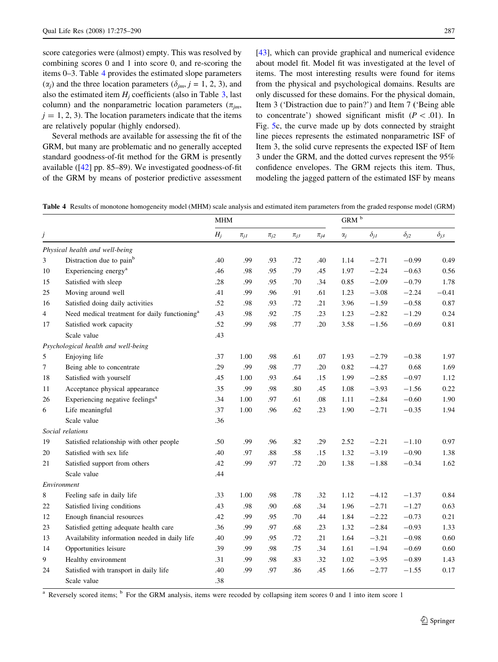<span id="page-12-0"></span>score categories were (almost) empty. This was resolved by combining scores 0 and 1 into score 0, and re-scoring the items 0–3. Table 4 provides the estimated slope parameters  $(\alpha_i)$  and the three location parameters  $(\delta_{im}, j = 1, 2, 3)$ , and also the estimated item  $H_i$  coefficients (also in Table [3](#page-9-0), last column) and the nonparametric location parameters ( $\pi_{im}$ ,  $j = 1, 2, 3$ . The location parameters indicate that the items are relatively popular (highly endorsed).

Several methods are available for assessing the fit of the GRM, but many are problematic and no generally accepted standard goodness-of-fit method for the GRM is presently available ([[42\]](#page-15-0) pp. 85–89). We investigated goodness-of-fit of the GRM by means of posterior predictive assessment

[\[43](#page-15-0)], which can provide graphical and numerical evidence about model fit. Model fit was investigated at the level of items. The most interesting results were found for items from the physical and psychological domains. Results are only discussed for these domains. For the physical domain, Item 3 ('Distraction due to pain?') and Item 7 ('Being able to concentrate') showed significant misfit ( $P < .01$ ). In Fig. [5](#page-11-0)c, the curve made up by dots connected by straight line pieces represents the estimated nonparametric ISF of Item 3, the solid curve represents the expected ISF of Item 3 under the GRM, and the dotted curves represent the 95% confidence envelopes. The GRM rejects this item. Thus, modeling the jagged pattern of the estimated ISF by means

Table 4 Results of monotone homogeneity model (MHM) scale analysis and estimated item parameters from the graded response model (GRM)

|    |                                                           |       | <b>MHM</b> |            |            |            |            | $\mbox{GRM}$ $^{\rm b}$ |               |               |  |
|----|-----------------------------------------------------------|-------|------------|------------|------------|------------|------------|-------------------------|---------------|---------------|--|
| j  |                                                           | $H_j$ | $\pi_{jI}$ | $\pi_{j2}$ | $\pi_{j3}$ | $\pi_{j4}$ | $\alpha_j$ | $\delta_{jl}$           | $\delta_{j2}$ | $\delta_{j3}$ |  |
|    | Physical health and well-being                            |       |            |            |            |            |            |                         |               |               |  |
| 3  | Distraction due to pain <sup>b</sup>                      | .40   | .99        | .93        | .72        | .40        | 1.14       | $-2.71$                 | $-0.99$       | 0.49          |  |
| 10 | Experiencing energy <sup>a</sup>                          | .46   | .98        | .95        | .79        | .45        | 1.97       | $-2.24$                 | $-0.63$       | 0.56          |  |
| 15 | Satisfied with sleep                                      | .28   | .99        | .95        | .70        | .34        | 0.85       | $-2.09$                 | $-0.79$       | 1.78          |  |
| 25 | Moving around well                                        | .41   | .99        | .96        | .91        | .61        | 1.23       | $-3.08$                 | $-2.24$       | $-0.41$       |  |
| 16 | Satisfied doing daily activities                          | .52   | .98        | .93        | .72        | .21        | 3.96       | $-1.59$                 | $-0.58$       | 0.87          |  |
| 4  | Need medical treatment for daily functioning <sup>a</sup> | .43   | .98        | .92        | .75        | .23        | 1.23       | $-2.82$                 | $-1.29$       | 0.24          |  |
| 17 | Satisfied work capacity                                   | .52   | .99        | .98        | .77        | .20        | 3.58       | $-1.56$                 | $-0.69$       | 0.81          |  |
|    | Scale value                                               | .43   |            |            |            |            |            |                         |               |               |  |
|    | Psychological health and well-being                       |       |            |            |            |            |            |                         |               |               |  |
| 5  | Enjoying life                                             | .37   | 1.00       | .98        | .61        | .07        | 1.93       | $-2.79$                 | $-0.38$       | 1.97          |  |
| 7  | Being able to concentrate                                 | .29   | .99        | .98        | .77        | .20        | 0.82       | $-4.27$                 | 0.68          | 1.69          |  |
| 18 | Satisfied with yourself                                   | .45   | 1.00       | .93        | .64        | .15        | 1.99       | $-2.85$                 | $-0.97$       | 1.12          |  |
| 11 | Acceptance physical appearance                            | .35   | .99        | .98        | .80        | .45        | 1.08       | $-3.93$                 | $-1.56$       | 0.22          |  |
| 26 | Experiencing negative feelings <sup>a</sup>               | .34   | 1.00       | .97        | .61        | .08        | 1.11       | $-2.84$                 | $-0.60$       | 1.90          |  |
| 6  | Life meaningful                                           | .37   | 1.00       | .96        | .62        | .23        | 1.90       | $-2.71$                 | $-0.35$       | 1.94          |  |
|    | Scale value                                               | .36   |            |            |            |            |            |                         |               |               |  |
|    | Social relations                                          |       |            |            |            |            |            |                         |               |               |  |
| 19 | Satisfied relationship with other people                  | .50   | .99        | .96        | .82        | .29        | 2.52       | $-2.21$                 | $-1.10$       | 0.97          |  |
| 20 | Satisfied with sex life                                   | .40   | .97        | .88        | .58        | .15        | 1.32       | $-3.19$                 | $-0.90$       | 1.38          |  |
| 21 | Satisfied support from others                             | .42   | .99        | .97        | .72        | .20        | 1.38       | $-1.88$                 | $-0.34$       | 1.62          |  |
|    | Scale value                                               | .44   |            |            |            |            |            |                         |               |               |  |
|    | Environment                                               |       |            |            |            |            |            |                         |               |               |  |
| 8  | Feeling safe in daily life                                | .33   | 1.00       | .98        | .78        | .32        | 1.12       | $-4.12$                 | $-1.37$       | 0.84          |  |
| 22 | Satisfied living conditions                               | .43   | .98        | .90        | .68        | .34        | 1.96       | $-2.71$                 | $-1.27$       | 0.63          |  |
| 12 | Enough financial resources                                | .42   | .99        | .95        | .70        | .44        | 1.84       | $-2.22$                 | $-0.73$       | 0.21          |  |
| 23 | Satisfied getting adequate health care                    | .36   | .99        | .97        | .68        | .23        | 1.32       | $-2.84$                 | $-0.93$       | 1.33          |  |
| 13 | Availability information needed in daily life             | .40   | .99        | .95        | .72        | .21        | 1.64       | $-3.21$                 | $-0.98$       | 0.60          |  |
| 14 | Opportunities leisure                                     | .39   | .99        | .98        | .75        | .34        | 1.61       | $-1.94$                 | $-0.69$       | 0.60          |  |
| 9  | Healthy environment                                       | .31   | .99        | .98        | .83        | .32        | 1.02       | $-3.95$                 | $-0.89$       | 1.43          |  |
| 24 | Satisfied with transport in daily life                    | .40   | .99        | .97        | .86        | .45        | 1.66       | $-2.77$                 | $-1.55$       | 0.17          |  |
|    | Scale value                                               | .38   |            |            |            |            |            |                         |               |               |  |

<sup>a</sup> Reversely scored items; <sup>b</sup> For the GRM analysis, items were recoded by collapsing item scores 0 and 1 into item score 1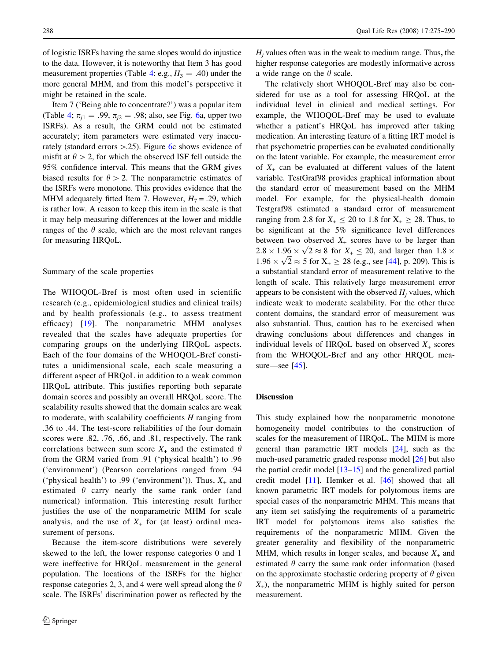of logistic ISRFs having the same slopes would do injustice to the data. However, it is noteworthy that Item 3 has good measurement properties (Table [4:](#page-12-0) e.g.,  $H_3 = .40$ ) under the more general MHM, and from this model's perspective it might be retained in the scale.

Item 7 ('Being able to concentrate?') was a popular item (Table [4;](#page-12-0)  $\pi_{i1} = .99$ ,  $\pi_{i2} = .98$ ; also, see Fig. [6](#page-11-0)a, upper two ISRFs). As a result, the GRM could not be estimated accurately; item parameters were estimated very inaccurately (standard errors  $> 0.25$ ). Figure [6](#page-11-0)c shows evidence of misfit at  $\theta > 2$ , for which the observed ISF fell outside the 95% confidence interval. This means that the GRM gives biased results for  $\theta > 2$ . The nonparametric estimates of the ISRFs were monotone. This provides evidence that the MHM adequately fitted Item 7. However,  $H_7 = .29$ , which is rather low. A reason to keep this item in the scale is that it may help measuring differences at the lower and middle ranges of the  $\theta$  scale, which are the most relevant ranges for measuring HRQoL.

### Summary of the scale properties

The WHOQOL-Bref is most often used in scientific research (e.g., epidemiological studies and clinical trails) and by health professionals (e.g., to assess treatment efficacy) [[19](#page-14-0)]. The nonparametric MHM analyses revealed that the scales have adequate properties for comparing groups on the underlying HRQoL aspects. Each of the four domains of the WHOQOL-Bref constitutes a unidimensional scale, each scale measuring a different aspect of HRQoL in addition to a weak common HRQoL attribute. This justifies reporting both separate domain scores and possibly an overall HRQoL score. The scalability results showed that the domain scales are weak to moderate, with scalability coefficients  $H$  ranging from .36 to .44. The test-score reliabilities of the four domain scores were .82, .76, .66, and .81, respectively. The rank correlations between sum score  $X_+$  and the estimated  $\theta$ from the GRM varied from .91 ('physical health') to .96 ('environment') (Pearson correlations ranged from .94 ('physical health') to .99 ('environment')). Thus,  $X_+$  and estimated  $\theta$  carry nearly the same rank order (and numerical) information. This interesting result further justifies the use of the nonparametric MHM for scale analysis, and the use of  $X_{+}$  for (at least) ordinal measurement of persons.

Because the item-score distributions were severely skewed to the left, the lower response categories 0 and 1 were ineffective for HRQoL measurement in the general population. The locations of the ISRFs for the higher response categories 2, 3, and 4 were well spread along the  $\theta$ scale. The ISRFs' discrimination power as reflected by the  $H_i$  values often was in the weak to medium range. Thus, the higher response categories are modestly informative across a wide range on the  $\theta$  scale.

The relatively short WHOQOL-Bref may also be considered for use as a tool for assessing HRQoL at the individual level in clinical and medical settings. For example, the WHOQOL-Bref may be used to evaluate whether a patient's HRQoL has improved after taking medication. An interesting feature of a fitting IRT model is that psychometric properties can be evaluated conditionally on the latent variable. For example, the measurement error of  $X_{+}$  can be evaluated at different values of the latent variable. TestGraf98 provides graphical information about the standard error of measurement based on the MHM model. For example, for the physical-health domain Testgraf98 estimated a standard error of measurement ranging from 2.8 for  $X_+ \le 20$  to 1.8 for  $X_+ \ge 28$ . Thus, to be significant at the 5% significance level differences between two observed  $X_{+}$  scores have to be larger than between two observed  $\lambda_+$  scores have to be larger than<br>2.8  $\times$  1.96  $\times$   $\sqrt{2}$   $\approx$  8 for  $X_+ \le 20$ , and larger than 1.8  $\times$ 2.6  $\times$  1.96  $\times$   $\sqrt{2} \approx$  5 for  $X_+ \ge 28$  (e.g., see [[44\]](#page-15-0), p. 209). This is a substantial standard error of measurement relative to the length of scale. This relatively large measurement error appears to be consistent with the observed  $H_i$  values, which indicate weak to moderate scalability. For the other three content domains, the standard error of measurement was also substantial. Thus, caution has to be exercised when drawing conclusions about differences and changes in individual levels of HRQoL based on observed  $X_+$  scores from the WHOQOL-Bref and any other HRQOL measure—see [\[45](#page-15-0)].

## Discussion

This study explained how the nonparametric monotone homogeneity model contributes to the construction of scales for the measurement of HRQoL. The MHM is more general than parametric IRT models [[24\]](#page-15-0), such as the much-used parametric graded response model [[26\]](#page-15-0) but also the partial credit model [\[13–15](#page-14-0)] and the generalized partial credit model [[11\]](#page-14-0). Hemker et al. [[46\]](#page-15-0) showed that all known parametric IRT models for polytomous items are special cases of the nonparametric MHM. This means that any item set satisfying the requirements of a parametric IRT model for polytomous items also satisfies the requirements of the nonparametric MHM. Given the greater generality and flexibility of the nonparametric MHM, which results in longer scales, and because  $X_+$  and estimated  $\theta$  carry the same rank order information (based on the approximate stochastic ordering property of  $\theta$  given  $X_{+}$ ), the nonparametric MHM is highly suited for person measurement.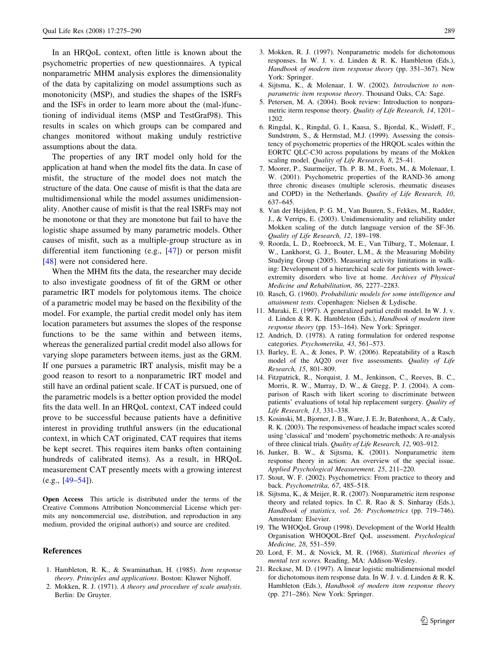<span id="page-14-0"></span>In an HRQoL context, often little is known about the psychometric properties of new questionnaires. A typical nonparametric MHM analysis explores the dimensionality of the data by capitalizing on model assumptions such as monotonicity (MSP), and studies the shapes of the ISRFs and the ISFs in order to learn more about the (mal-)functioning of individual items (MSP and TestGraf98). This results in scales on which groups can be compared and changes monitored without making unduly restrictive assumptions about the data.

The properties of any IRT model only hold for the application at hand when the model fits the data. In case of misfit, the structure of the model does not match the structure of the data. One cause of misfit is that the data are multidimensional while the model assumes unidimensionality. Another cause of misfit is that the real ISRFs may not be monotone or that they are monotone but fail to have the logistic shape assumed by many parametric models. Other causes of misfit, such as a multiple-group structure as in differential item functioning (e.g., [\[47](#page-15-0)]) or person misfit [\[48](#page-15-0)] were not considered here.

When the MHM fits the data, the researcher may decide to also investigate goodness of fit of the GRM or other parametric IRT models for polytomous items. The choice of a parametric model may be based on the flexibility of the model. For example, the partial credit model only has item location parameters but assumes the slopes of the response functions to be the same within and between items, whereas the generalized partial credit model also allows for varying slope parameters between items, just as the GRM. If one pursues a parametric IRT analysis, misfit may be a good reason to resort to a nonparametric IRT model and still have an ordinal patient scale. If CAT is pursued, one of the parametric models is a better option provided the model fits the data well. In an HRQoL context, CAT indeed could prove to be successful because patients have a definitive interest in providing truthful answers (in the educational context, in which CAT originated, CAT requires that items be kept secret. This requires item banks often containing hundreds of calibrated items). As a result, in HRQoL measurement CAT presently meets with a growing interest  $(e.g., [49-54]).$ 

Open Access This article is distributed under the terms of the Creative Commons Attribution Noncommercial License which permits any noncommercial use, distribution, and reproduction in any medium, provided the original author(s) and source are credited.

#### References

- 1. Hambleton, R. K., & Swaminathan, H. (1985). Item response theory. Principles and applications. Boston: Kluwer Nijhoff.
- 2. Mokken, R. J. (1971). A theory and procedure of scale analysis. Berlin: De Gruyter.
- 3. Mokken, R. J. (1997). Nonparametric models for dichotomous responses. In W. J. v. d. Linden & R. K. Hambleton (Eds.), Handbook of modern item response theory (pp. 351–367). New York: Springer.
- 4. Sijtsma, K., & Molenaar, I. W. (2002). Introduction to nonparametric item response theory. Thousand Oaks, CA: Sage.
- 5. Petersen, M. A. (2004). Book review: Introduction to nonparametric iterm response theory. Quality of Life Research, 14, 1201– 1202.
- 6. Ringdal, K., Ringdal, G. I., Kaasa, S., Bjordal, K., Wisløff, F., Sundstrøm, S., & Hermstad, M.J. (1999). Assessing the consistency of psychometric properties of the HRQOL scales within the EORTC QLC-C30 across populations by means of the Mokken scaling model. Quality of Life Research, 8, 25–41.
- 7. Moorer, P., Suurmeijer, Th. P. B. M., Foets, M., & Molenaar, I. W. (2001). Psychometric properties of the RAND-36 among three chronic diseases (multiple sclerosis, rheumatic diseases and COPD) in the Netherlands. Quality of Life Research, 10, 637–645.
- 8. Van der Heijden, P. G. M., Van Buuren, S., Fekkes, M., Radder, J., & Verrips, E. (2003). Unidimensionality and reliability under Mokken scaling of the dutch language version of the SF-36. Quality of Life Research, 12, 189–198.
- 9. Roorda, L. D., Roebroeck, M. E., Van Tilburg, T., Molenaar, I. W., Lankhorst, G. J., Bouter, L.M., & the Measuring Mobility Studying Group (2005). Measuring activity limitations in walking: Development of a hierarchical scale for patients with lowerextremity disorders who live at home. Archives of Physical Medicine and Rehabilitation, 86, 2277–2283.
- 10. Rasch, G. (1960). Probabilistic models for some intelligence and attainment tests. Copenhagen: Nielsen & Lydische.
- 11. Muraki, E. (1997). A generalized partial credit model. In W. J. v. d. Linden & R. K. Hambleton (Eds.), Handbook of modern item response theory (pp. 153–164). New York: Springer.
- 12. Andrich, D. (1978). A rating formulation for ordered response categories. Psychometrika, 43, 561–573.
- 13. Barley, E. A., & Jones, P. W. (2006). Repeatability of a Rasch model of the AQ20 over five assessments. Quality of Life Research, 15, 801–809.
- 14. Fitzpatrick, R., Norquist, J. M., Jenkinson, C., Reeves, B. C., Morris, R. W., Murray, D. W., & Gregg, P. J. (2004). A comparison of Rasch with likert scoring to discriminate between patients' evaluations of total hip replacement surgery. Quality of Life Research, 13, 331–338.
- 15. Kosinski, M., Bjorner, J. B., Ware, J. E. Jr, Batenhorst, A., & Cady, R. K. (2003). The responsiveness of headache impact scales scored using 'classical' and 'modern' psychometric methods: A re-analysis of three clinical trials. Quality of Life Research, 12, 903–912.
- 16. Junker, B. W., & Sijtsma, K. (2001). Nonparametric item response theory in action: An overview of the special issue. Applied Psychological Measurement, 25, 211–220.
- 17. Stout, W. F. (2002). Psychometrics: From practice to theory and back. Psychometrika, 67, 485–518.
- 18. Sijtsma, K., & Meijer, R. R. (2007). Nonparametric item response theory and related topics. In C. R. Rao & S. Sinharay (Eds.), Handbook of statistics, vol. 26: Psychometrics (pp. 719–746). Amsterdam: Elsevier.
- 19. The WHOQoL Group (1998). Development of the World Health Organisation WHOQOL-Bref QoL assessment. Psychological Medicine, 28, 551–559.
- 20. Lord, F. M., & Novick, M. R. (1968). Statistical theories of mental test scores. Reading, MA: Addison-Wesley.
- 21. Reckase, M. D. (1997). A linear logistic multidimensional model for dichotomous item response data. In W. J. v. d. Linden & R. K. Hambleton (Eds.), Handbook of modern item response theory (pp. 271–286). New York: Springer.